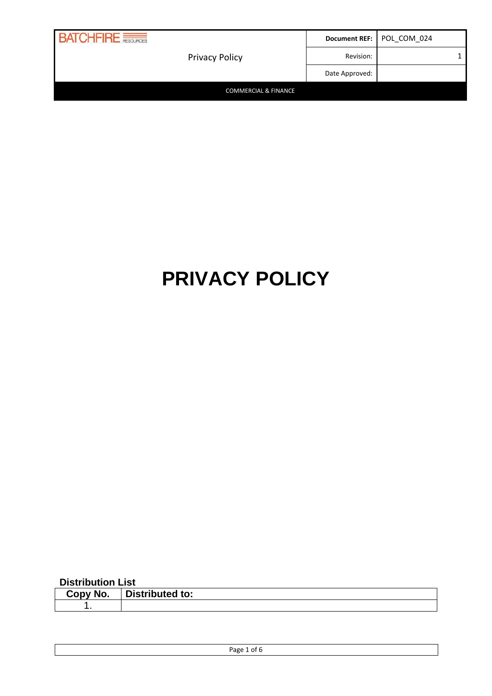| <b>BATCHFIRE</b>                |                | Document REF:   POL_COM_024 |
|---------------------------------|----------------|-----------------------------|
| <b>Privacy Policy</b>           | Revision:      |                             |
|                                 | Date Approved: |                             |
| <b>COMMERCIAL &amp; FINANCE</b> |                |                             |

# **PRIVACY POLICY**

#### **Distribution List**

| ∴opv | : a 1 - : 1 - : 1 - |
|------|---------------------|
| NO.  | Distributed to:     |
|      |                     |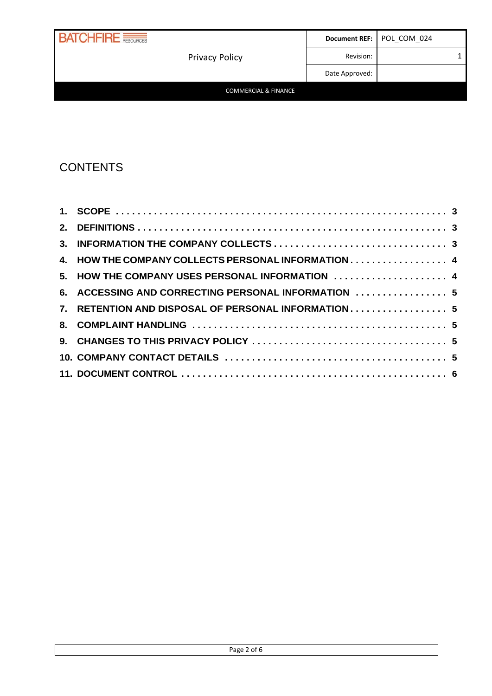| <b>BATCHFIRE</b>      |                | Document REF:   POL_COM_024 |  |
|-----------------------|----------------|-----------------------------|--|
| <b>Privacy Policy</b> | Revision:      |                             |  |
|                       | Date Approved: |                             |  |

#### COMMERCIAL & FINANCE

## **CONTENTS**

| 4. HOW THE COMPANY COLLECTS PERSONAL INFORMATION 4  |  |
|-----------------------------------------------------|--|
| 5. HOW THE COMPANY USES PERSONAL INFORMATION  4     |  |
| 6. ACCESSING AND CORRECTING PERSONAL INFORMATION  5 |  |
| 7. RETENTION AND DISPOSAL OF PERSONAL INFORMATION 5 |  |
|                                                     |  |
|                                                     |  |
|                                                     |  |
|                                                     |  |
|                                                     |  |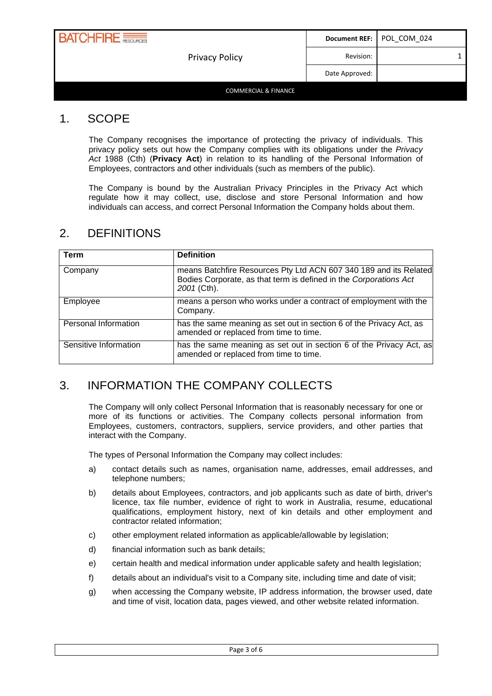| <b>RATCHFIRE</b>                | Document REF:  | POL COM 024 |  |
|---------------------------------|----------------|-------------|--|
| <b>Privacy Policy</b>           | Revision:      |             |  |
|                                 | Date Approved: |             |  |
| <b>COMMERCIAL &amp; FINANCE</b> |                |             |  |

#### <span id="page-2-0"></span>1. SCOPE

The Company recognises the importance of protecting the privacy of individuals. This privacy policy sets out how the Company complies with its obligations under the *Privacy Act* 1988 (Cth) (**Privacy Act**) in relation to its handling of the Personal Information of Employees, contractors and other individuals (such as members of the public).

The Company is bound by the Australian Privacy Principles in the Privacy Act which regulate how it may collect, use, disclose and store Personal Information and how individuals can access, and correct Personal Information the Company holds about them.

| Term                  | <b>Definition</b>                                                                                                                                     |
|-----------------------|-------------------------------------------------------------------------------------------------------------------------------------------------------|
| Company               | means Batchfire Resources Pty Ltd ACN 607 340 189 and its Related<br>Bodies Corporate, as that term is defined in the Corporations Act<br>2001 (Cth). |
| Employee              | means a person who works under a contract of employment with the<br>Company.                                                                          |
| Personal Information  | has the same meaning as set out in section 6 of the Privacy Act, as<br>amended or replaced from time to time.                                         |
| Sensitive Information | has the same meaning as set out in section 6 of the Privacy Act, as<br>amended or replaced from time to time.                                         |

#### <span id="page-2-1"></span>2. DEFINITIONS

### <span id="page-2-2"></span>3. INFORMATION THE COMPANY COLLECTS

The Company will only collect Personal Information that is reasonably necessary for one or more of its functions or activities. The Company collects personal information from Employees, customers, contractors, suppliers, service providers, and other parties that interact with the Company.

The types of Personal Information the Company may collect includes:

- a) contact details such as names, organisation name, addresses, email addresses, and telephone numbers;
- b) details about Employees, contractors, and job applicants such as date of birth, driver's licence, tax file number, evidence of right to work in Australia, resume, educational qualifications, employment history, next of kin details and other employment and contractor related information;
- c) other employment related information as applicable/allowable by legislation;
- d) financial information such as bank details;
- e) certain health and medical information under applicable safety and health legislation;
- f) details about an individual's visit to a Company site, including time and date of visit;
- g) when accessing the Company website, IP address information, the browser used, date and time of visit, location data, pages viewed, and other website related information.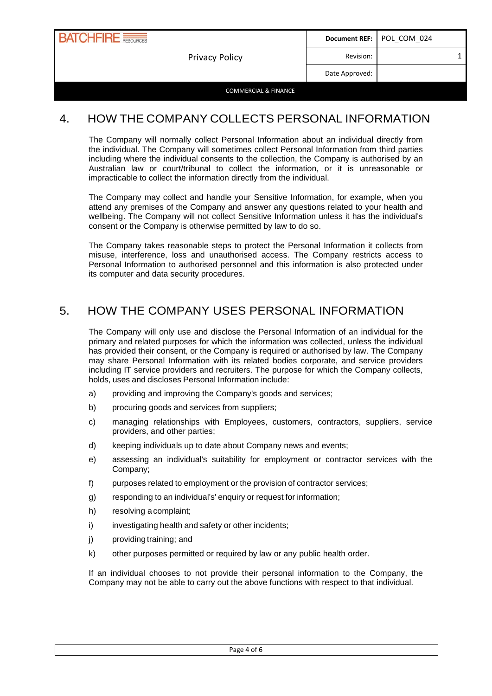

#### <span id="page-3-0"></span>4. HOW THE COMPANY COLLECTS PERSONAL INFORMATION

The Company will normally collect Personal Information about an individual directly from the individual. The Company will sometimes collect Personal Information from third parties including where the individual consents to the collection, the Company is authorised by an Australian law or court/tribunal to collect the information, or it is unreasonable or impracticable to collect the information directly from the individual.

The Company may collect and handle your Sensitive Information, for example, when you attend any premises of the Company and answer any questions related to your health and wellbeing. The Company will not collect Sensitive Information unless it has the individual's consent or the Company is otherwise permitted by law to do so.

The Company takes reasonable steps to protect the Personal Information it collects from misuse, interference, loss and unauthorised access. The Company restricts access to Personal Information to authorised personnel and this information is also protected under its computer and data security procedures.

### <span id="page-3-1"></span>5. HOW THE COMPANY USES PERSONAL INFORMATION

The Company will only use and disclose the Personal Information of an individual for the primary and related purposes for which the information was collected, unless the individual has provided their consent, or the Company is required or authorised by law. The Company may share Personal Information with its related bodies corporate, and service providers including IT service providers and recruiters. The purpose for which the Company collects, holds, uses and discloses Personal Information include:

- a) providing and improving the Company's goods and services;
- b) procuring goods and services from suppliers;
- c) managing relationships with Employees, customers, contractors, suppliers, service providers, and other parties;
- d) keeping individuals up to date about Company news and events;
- e) assessing an individual's suitability for employment or contractor services with the Company;
- f) purposes related to employment or the provision of contractor services;
- g) responding to an individual's' enquiry or request for information;
- h) resolving acomplaint;
- i) investigating health and safety or other incidents;
- j) providing training; and
- k) other purposes permitted or required by law or any public health order.

If an individual chooses to not provide their personal information to the Company, the Company may not be able to carry out the above functions with respect to that individual.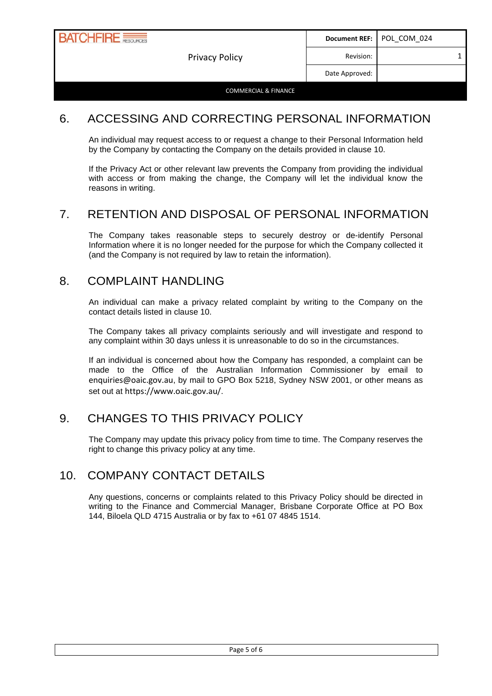

#### <span id="page-4-0"></span>6. ACCESSING AND CORRECTING PERSONAL INFORMATION

An individual may request access to or request a change to their Personal Information held by the Company by contacting the Company on the details provided in clause [10.](#page-4-4)

If the Privacy Act or other relevant law prevents the Company from providing the individual with access or from making the change, the Company will let the individual know the reasons in writing.

## <span id="page-4-1"></span>7. RETENTION AND DISPOSAL OF PERSONAL INFORMATION

The Company takes reasonable steps to securely destroy or de-identify Personal Information where it is no longer needed for the purpose for which the Company collected it (and the Company is not required by law to retain the information).

#### <span id="page-4-2"></span>8. COMPLAINT HANDLING

An individual can make a privacy related complaint by writing to the Company on the contact details listed in clause [10.](#page-4-4)

The Company takes all privacy complaints seriously and will investigate and respond to any complaint within 30 days unless it is unreasonable to do so in the circumstances.

If an individual is concerned about how the Company has responded, a complaint can be made to the Office of the Australian Information Commissioner by email to [enquiries@oaic.gov.au](mailto:enquiries@oaic.gov.au), by mail to GPO Box 5218, Sydney NSW 2001, or other means as set out at <https://www.oaic.gov.au/>.

### <span id="page-4-3"></span>9. CHANGES TO THIS PRIVACY POLICY

The Company may update this privacy policy from time to time. The Company reserves the right to change this privacy policy at any time.

### <span id="page-4-4"></span>10. COMPANY CONTACT DETAILS

Any questions, concerns or complaints related to this Privacy Policy should be directed in writing to the Finance and Commercial Manager, Brisbane Corporate Office at PO Box 144, Biloela QLD 4715 Australia or by fax to +61 07 4845 1514.